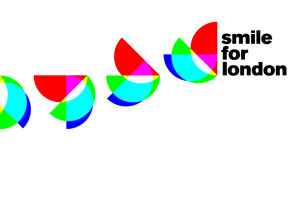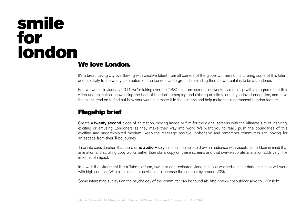#### We love London.

It's a breathtaking city overflowing with creative talent from all corners of the globe. Our mission is to bring some of this talent and creativity to the weary commuters on the London Underground, reminding them how great it is to be a Londoner.

video and animation, showcasing the best of London's emerging and existing artistic talent. If you love London too, and have the talent, read on to find out how your work can make it to the screens and help make this a permanent London feature. For two weeks in January 2011, we're taking over the CBSO platform screens on weekday mornings with a programme of film,

### Flagship brief

Create a **twenty second** piece of animation, moving image or film for the digital screens with the ultimate aim of inspiring, exciting or amusing Londoners as they make their way into work. We want you to really push the boundaries of this exciting and underexploited medium. Keep the message positive, inoffensive and remember commuters are looking for an escape from their Tube journey.

Take into consideration that there is no audio  $-$  so you should be able to draw an audience with visuals alone. Bear in mind that animation and scrolling copy works better than static copy on these screens and that over-elaborate animation adds very little in terms of impact.

In a well-lit environment like a Tube platform, low lit or dark-coloured video can look washed-out. but dark animation will work with high contrast. With all colours it is advisable to increase the contrast by around 20%.

Some interesting surveys on the psychology of the commuter can be found at: http://www.cbsoutdoor-alive.co.uk/insight.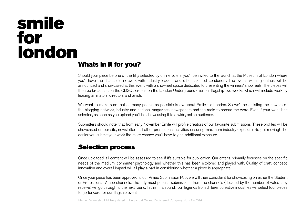#### Whats in it for you? CYAN = R000, G255, B255

Should your piece be one of the fifty selected by online voters, you'll be invited to the launch at the Museum of London where you'll have the chance to network with industry leaders and other talented Londoners. The overall winning entries will be leading animators, directors and artists. announced and showcased at this event, with a showreel space dedicated to presenting the winners' showreels. The pieces will then be broadcast on the CBSO screens on the London Underground over our flagship two weeks which will include work by

We want to make sure that as many people as possible know about Smile for London. So we'll be enlisting the powers of the blogging network, industry and national magazines, newspapers and the radio to spread the word. Even if your work isn't selected, as soon as you upload you'll be showcasing it to a wide, online audience.

Submitters should note, that from early November Smile will profile creators of our favourite submissions. These profiles will be showcased on our site, newsletter and other promotional activities ensuring maximum industry exposure. So get moving! The earlier you submit your work the more chance you'll have to get additional exposure.

#### Selection process

Once uploaded, all content will be assessed to see if it's suitable for publication. Our criteria primarily focusses on the specific needs of the medium, commuter psychology and whether this has been explored and played with. Quality of craft, concept, innovation and overall impact will all play a part in considering whether a piece is appropriate.

Once your piece has been approved to our Vimeo Submission Pool, we will then consider it for showcasing on either the Student or Professional Vimeo channels. The fifty most popular submissions from the channels (decided by the number of votes they receive) will go through to the next round. In this final round, four legends from different creative industries will select four pieces to go forward for our flagship event.

Meme Partnership Ltd, Registered in England & Wales, Registered Company No. 7126799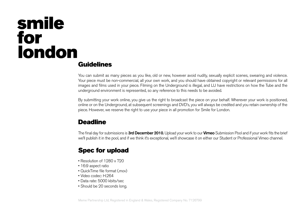### Guidelines

You can submit as many pieces as you like, old or new, however avoid nudity, sexually explicit scenes, swearing and violence. Your piece must be non-commercial, all your own work, and you should have obtained copyright or relevant permissions for all 'NORMAL' TRANSPARENCY TRANSPARENCY TRANSPARENCY TRANSPARENCY TRANSPARENCY TRANSPARENCY TRANSPARENCY TRANSPARENCY images and films used in your piece. Filming on the Underground is illegal, and LU have restrictions on how the Tube and the underground environment is represented, so any reference to this needs to be avoided.

By submitting your work online, you give us the right to broadcast the piece on your behalf. Wherever your work is positioned, online or on the Underground, at subsequent screenings and DVD's, you will always be credited and you retain ownership of the piece. However, we reserve the right to use your piece in all promotion for Smile for London.

### **Deadline**

The final day for submissions is 3rd December 2010. Upload your work to our Vimeo Submission Pool and if your work fits the brief we'll publish it in the pool, and if we think it's exceptional, we'll showcase it on either our Student or Professional Vimeo channel.

### Spec for upload

- Resolution of 1280 x 720
- 16:9 aspect ratio
- QuickTime file format (.mov)
- Video codec: H.264
- Data rate: 5000 kbits/sec
- Should be 20 seconds long.